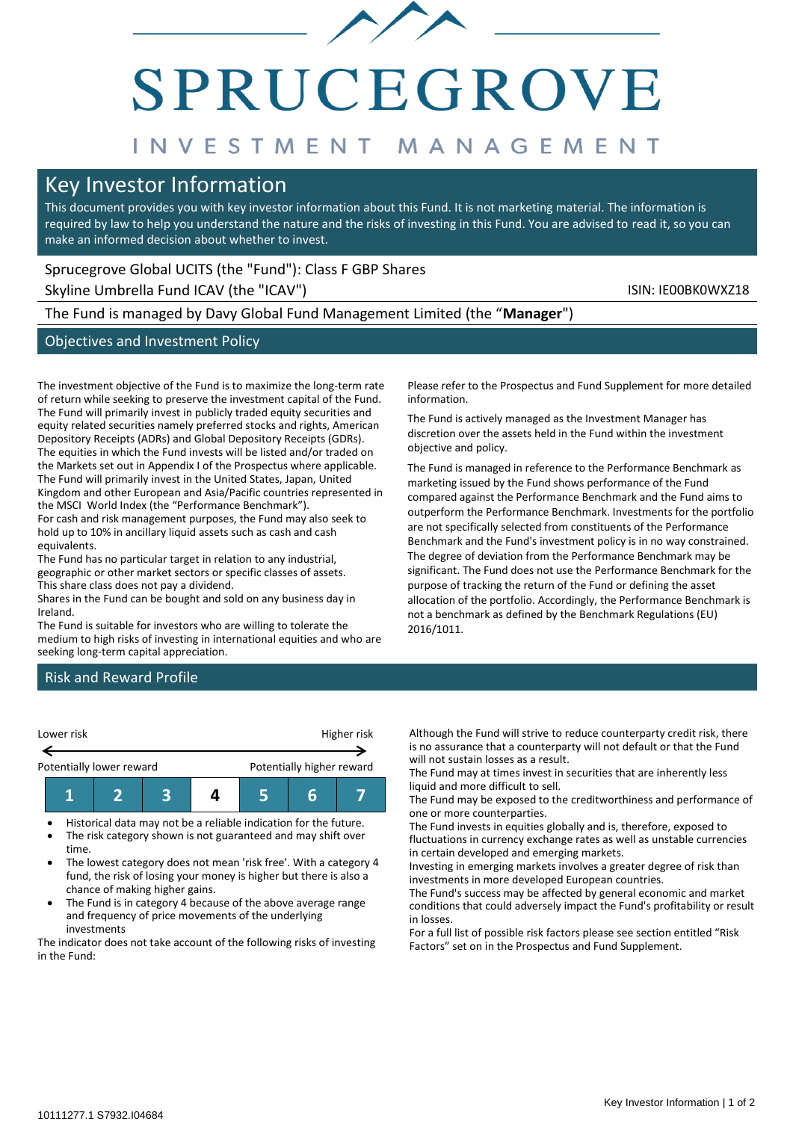# SPRUCEGROVE

# INVESTMENT MANAGEMENT

# Key Investor Information

This document provides you with key investor information about this Fund. It is not marketing material. The information is required by law to help you understand the nature and the risks of investing in this Fund. You are advised to read it, so you can make an informed decision about whether to invest.

# Sprucegrove Global UCITS (the "Fund"): Class F GBP Shares

Skyline Umbrella Fund ICAV (the "ICAV") Skyline Umbrella Fund ICAV (the "ICAV")

The Fund is managed by Davy Global Fund Management Limited (the "**Manager**")

# Objectives and Investment Policy

The investment objective of the Fund is to maximize the long-term rate of return while seeking to preserve the investment capital of the Fund. The Fund will primarily invest in publicly traded equity securities and equity related securities namely preferred stocks and rights, American Depository Receipts (ADRs) and Global Depository Receipts (GDRs). The equities in which the Fund invests will be listed and/or traded on the Markets set out in Appendix I of the Prospectus where applicable. The Fund will primarily invest in the United States, Japan, United Kingdom and other European and Asia/Pacific countries represented in the MSCI World Index (the "Performance Benchmark").

For cash and risk management purposes, the Fund may also seek to hold up to 10% in ancillary liquid assets such as cash and cash equivalents.

The Fund has no particular target in relation to any industrial, geographic or other market sectors or specific classes of assets. This share class does not pay a dividend.

Shares in the Fund can be bought and sold on any business day in Ireland.

The Fund is suitable for investors who are willing to tolerate the medium to high risks of investing in international equities and who are seeking long-term capital appreciation.

Please refer to the Prospectus and Fund Supplement for more detailed information.

The Fund is actively managed as the Investment Manager has discretion over the assets held in the Fund within the investment objective and policy.

The Fund is managed in reference to the Performance Benchmark as marketing issued by the Fund shows performance of the Fund compared against the Performance Benchmark and the Fund aims to outperform the Performance Benchmark. Investments for the portfolio are not specifically selected from constituents of the Performance Benchmark and the Fund's investment policy is in no way constrained. The degree of deviation from the Performance Benchmark may be significant. The Fund does not use the Performance Benchmark for the purpose of tracking the return of the Fund or defining the asset allocation of the portfolio. Accordingly, the Performance Benchmark is not a benchmark as defined by the Benchmark Regulations (EU) 2016/1011.

# Risk and Reward Profile



• Historical data may not be a reliable indication for the future. The risk category shown is not guaranteed and may shift over

- time. • The lowest category does not mean 'risk free'. With a category 4
- fund, the risk of losing your money is higher but there is also a chance of making higher gains.
- The Fund is in category 4 because of the above average range and frequency of price movements of the underlying investments

The indicator does not take account of the following risks of investing in the Fund:

Although the Fund will strive to reduce counterparty credit risk, there is no assurance that a counterparty will not default or that the Fund will not sustain losses as a result.

The Fund may at times invest in securities that are inherently less liquid and more difficult to sell.

The Fund may be exposed to the creditworthiness and performance of one or more counterparties.

The Fund invests in equities globally and is, therefore, exposed to fluctuations in currency exchange rates as well as unstable currencies in certain developed and emerging markets.

Investing in emerging markets involves a greater degree of risk than investments in more developed European countries.

The Fund's success may be affected by general economic and market conditions that could adversely impact the Fund's profitability or result in losses.

For a full list of possible risk factors please see section entitled "Risk Factors" set on in the Prospectus and Fund Supplement.